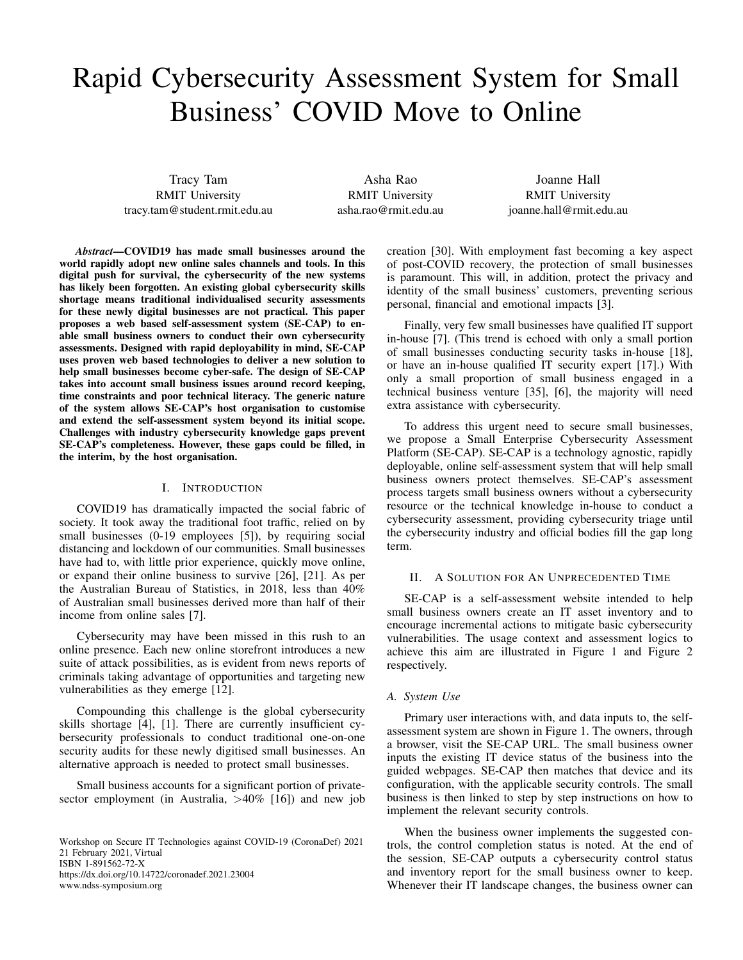# Rapid Cybersecurity Assessment System for Small Business' COVID Move to Online

Tracy Tam RMIT University tracy.tam@student.rmit.edu.au

Asha Rao RMIT University asha.rao@rmit.edu.au

Joanne Hall RMIT University joanne.hall@rmit.edu.au

*Abstract*—COVID19 has made small businesses around the world rapidly adopt new online sales channels and tools. In this digital push for survival, the cybersecurity of the new systems has likely been forgotten. An existing global cybersecurity skills shortage means traditional individualised security assessments for these newly digital businesses are not practical. This paper proposes a web based self-assessment system (SE-CAP) to enable small business owners to conduct their own cybersecurity assessments. Designed with rapid deployability in mind, SE-CAP uses proven web based technologies to deliver a new solution to help small businesses become cyber-safe. The design of SE-CAP takes into account small business issues around record keeping, time constraints and poor technical literacy. The generic nature of the system allows SE-CAP's host organisation to customise and extend the self-assessment system beyond its initial scope. Challenges with industry cybersecurity knowledge gaps prevent SE-CAP's completeness. However, these gaps could be filled, in the interim, by the host organisation.

# I. INTRODUCTION

COVID19 has dramatically impacted the social fabric of society. It took away the traditional foot traffic, relied on by small businesses (0-19 employees [5]), by requiring social distancing and lockdown of our communities. Small businesses have had to, with little prior experience, quickly move online, or expand their online business to survive [26], [21]. As per the Australian Bureau of Statistics, in 2018, less than 40% of Australian small businesses derived more than half of their income from online sales [7].

Cybersecurity may have been missed in this rush to an online presence. Each new online storefront introduces a new suite of attack possibilities, as is evident from news reports of criminals taking advantage of opportunities and targeting new vulnerabilities as they emerge [12].

Compounding this challenge is the global cybersecurity skills shortage [4], [1]. There are currently insufficient cybersecurity professionals to conduct traditional one-on-one security audits for these newly digitised small businesses. An alternative approach is needed to protect small businesses.

Small business accounts for a significant portion of privatesector employment (in Australia, >40% [16]) and new job

Workshop on Secure IT Technologies against COVID-19 (CoronaDef) 2021 21 February 2021, Virtual ISBN 1-891562-72-X https://dx.doi.org/10.14722/coronadef.2021.23004 www.ndss-symposium.org

creation [30]. With employment fast becoming a key aspect of post-COVID recovery, the protection of small businesses is paramount. This will, in addition, protect the privacy and identity of the small business' customers, preventing serious personal, financial and emotional impacts [3].

Finally, very few small businesses have qualified IT support in-house [7]. (This trend is echoed with only a small portion of small businesses conducting security tasks in-house [18], or have an in-house qualified IT security expert [17].) With only a small proportion of small business engaged in a technical business venture [35], [6], the majority will need extra assistance with cybersecurity.

To address this urgent need to secure small businesses, we propose a Small Enterprise Cybersecurity Assessment Platform (SE-CAP). SE-CAP is a technology agnostic, rapidly deployable, online self-assessment system that will help small business owners protect themselves. SE-CAP's assessment process targets small business owners without a cybersecurity resource or the technical knowledge in-house to conduct a cybersecurity assessment, providing cybersecurity triage until the cybersecurity industry and official bodies fill the gap long term.

## II. A SOLUTION FOR AN UNPRECEDENTED TIME

SE-CAP is a self-assessment website intended to help small business owners create an IT asset inventory and to encourage incremental actions to mitigate basic cybersecurity vulnerabilities. The usage context and assessment logics to achieve this aim are illustrated in Figure 1 and Figure 2 respectively.

#### *A. System Use*

Primary user interactions with, and data inputs to, the selfassessment system are shown in Figure 1. The owners, through a browser, visit the SE-CAP URL. The small business owner inputs the existing IT device status of the business into the guided webpages. SE-CAP then matches that device and its configuration, with the applicable security controls. The small business is then linked to step by step instructions on how to implement the relevant security controls.

When the business owner implements the suggested controls, the control completion status is noted. At the end of the session, SE-CAP outputs a cybersecurity control status and inventory report for the small business owner to keep. Whenever their IT landscape changes, the business owner can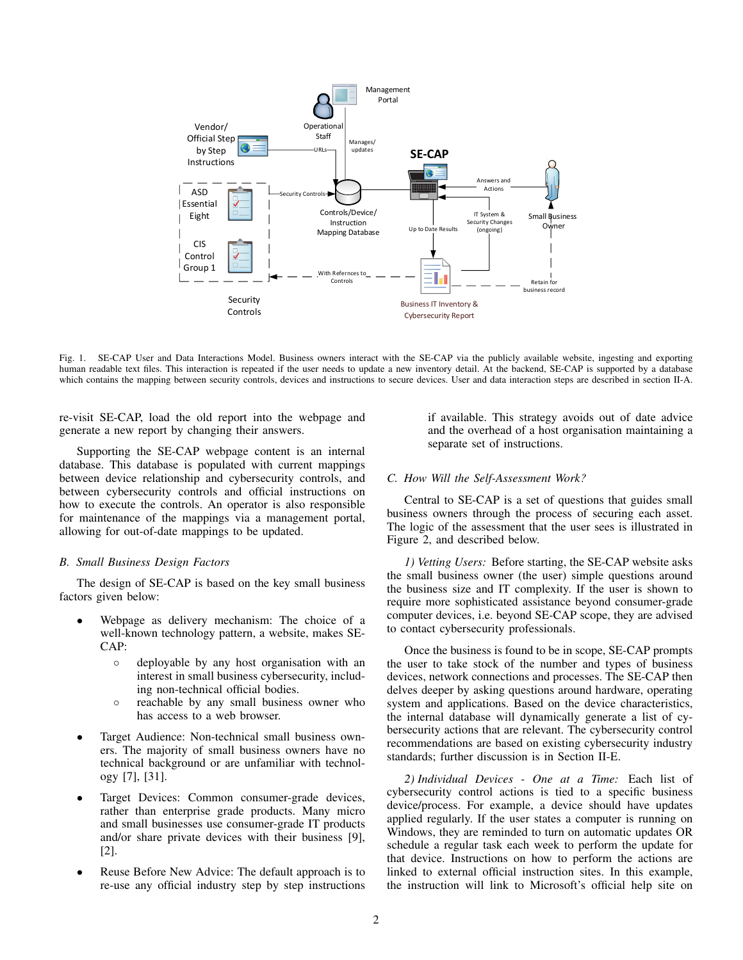

Fig. 1. SE-CAP User and Data Interactions Model. Business owners interact with the SE-CAP via the publicly available website, ingesting and exporting human readable text files. This interaction is repeated if the user needs to update a new inventory detail. At the backend, SE-CAP is supported by a database which contains the mapping between security controls, devices and instructions to secure devices. User and data interaction steps are described in section II-A.

re-visit SE-CAP, load the old report into the webpage and generate a new report by changing their answers.

Supporting the SE-CAP webpage content is an internal database. This database is populated with current mappings between device relationship and cybersecurity controls, and between cybersecurity controls and official instructions on how to execute the controls. An operator is also responsible for maintenance of the mappings via a management portal, allowing for out-of-date mappings to be updated.

#### *B. Small Business Design Factors*

The design of SE-CAP is based on the key small business factors given below:

- Webpage as delivery mechanism: The choice of a well-known technology pattern, a website, makes SE-CAP:
	- deployable by any host organisation with an interest in small business cybersecurity, including non-technical official bodies.
	- reachable by any small business owner who has access to a web browser.
- Target Audience: Non-technical small business owners. The majority of small business owners have no technical background or are unfamiliar with technology [7], [31].
- Target Devices: Common consumer-grade devices, rather than enterprise grade products. Many micro and small businesses use consumer-grade IT products and/or share private devices with their business [9], [2].
- Reuse Before New Advice: The default approach is to re-use any official industry step by step instructions

if available. This strategy avoids out of date advice and the overhead of a host organisation maintaining a separate set of instructions.

## *C. How Will the Self-Assessment Work?*

Central to SE-CAP is a set of questions that guides small business owners through the process of securing each asset. The logic of the assessment that the user sees is illustrated in Figure 2, and described below.

*1) Vetting Users:* Before starting, the SE-CAP website asks the small business owner (the user) simple questions around the business size and IT complexity. If the user is shown to require more sophisticated assistance beyond consumer-grade computer devices, i.e. beyond SE-CAP scope, they are advised to contact cybersecurity professionals.

Once the business is found to be in scope, SE-CAP prompts the user to take stock of the number and types of business devices, network connections and processes. The SE-CAP then delves deeper by asking questions around hardware, operating system and applications. Based on the device characteristics, the internal database will dynamically generate a list of cybersecurity actions that are relevant. The cybersecurity control recommendations are based on existing cybersecurity industry standards; further discussion is in Section II-E.

*2) Individual Devices - One at a Time:* Each list of cybersecurity control actions is tied to a specific business device/process. For example, a device should have updates applied regularly. If the user states a computer is running on Windows, they are reminded to turn on automatic updates OR schedule a regular task each week to perform the update for that device. Instructions on how to perform the actions are linked to external official instruction sites. In this example, the instruction will link to Microsoft's official help site on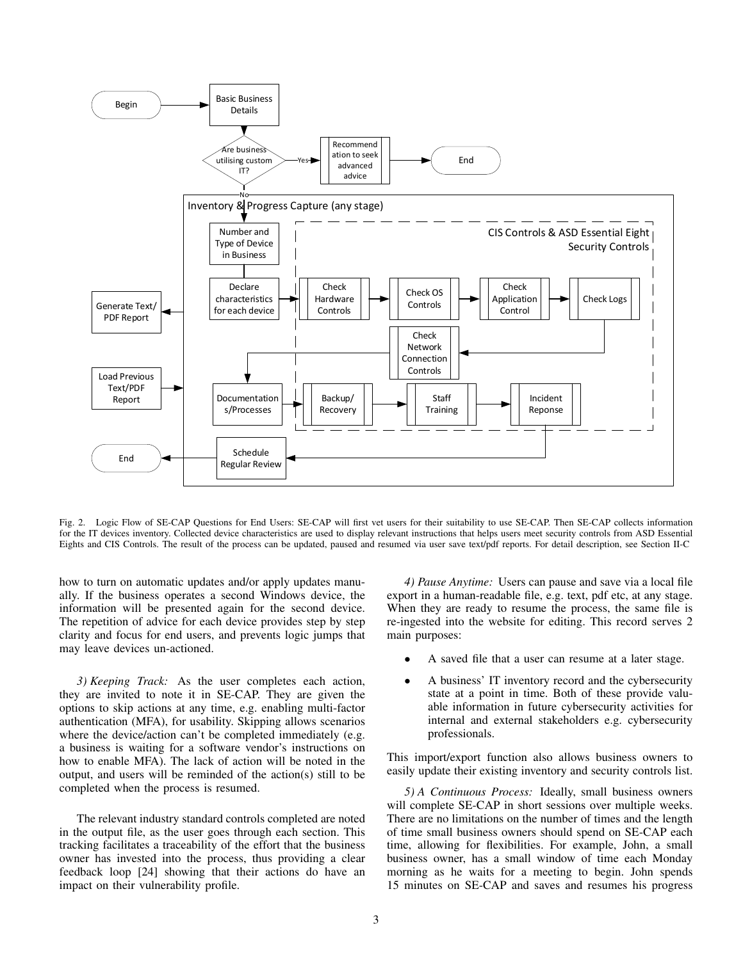

Fig. 2. Logic Flow of SE-CAP Questions for End Users: SE-CAP will first vet users for their suitability to use SE-CAP. Then SE-CAP collects information for the IT devices inventory. Collected device characteristics are used to display relevant instructions that helps users meet security controls from ASD Essential Eights and CIS Controls. The result of the process can be updated, paused and resumed via user save text/pdf reports. For detail description, see Section II-C

how to turn on automatic updates and/or apply updates manually. If the business operates a second Windows device, the information will be presented again for the second device. The repetition of advice for each device provides step by step clarity and focus for end users, and prevents logic jumps that may leave devices un-actioned.

*3) Keeping Track:* As the user completes each action, they are invited to note it in SE-CAP. They are given the options to skip actions at any time, e.g. enabling multi-factor authentication (MFA), for usability. Skipping allows scenarios where the device/action can't be completed immediately (e.g. a business is waiting for a software vendor's instructions on how to enable MFA). The lack of action will be noted in the output, and users will be reminded of the action(s) still to be completed when the process is resumed.

The relevant industry standard controls completed are noted in the output file, as the user goes through each section. This tracking facilitates a traceability of the effort that the business owner has invested into the process, thus providing a clear feedback loop [24] showing that their actions do have an impact on their vulnerability profile.

*4) Pause Anytime:* Users can pause and save via a local file export in a human-readable file, e.g. text, pdf etc, at any stage. When they are ready to resume the process, the same file is re-ingested into the website for editing. This record serves 2 main purposes:

- A saved file that a user can resume at a later stage.
- A business' IT inventory record and the cybersecurity state at a point in time. Both of these provide valuable information in future cybersecurity activities for internal and external stakeholders e.g. cybersecurity professionals.

This import/export function also allows business owners to easily update their existing inventory and security controls list.

*5) A Continuous Process:* Ideally, small business owners will complete SE-CAP in short sessions over multiple weeks. There are no limitations on the number of times and the length of time small business owners should spend on SE-CAP each time, allowing for flexibilities. For example, John, a small business owner, has a small window of time each Monday morning as he waits for a meeting to begin. John spends 15 minutes on SE-CAP and saves and resumes his progress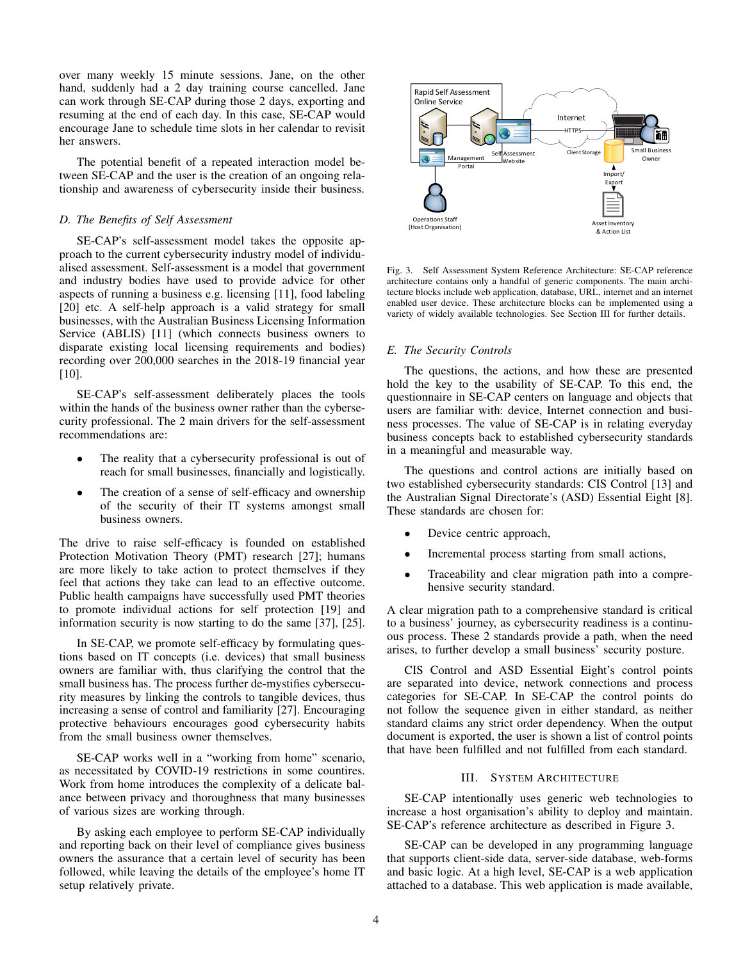over many weekly 15 minute sessions. Jane, on the other hand, suddenly had a 2 day training course cancelled. Jane can work through SE-CAP during those 2 days, exporting and resuming at the end of each day. In this case, SE-CAP would encourage Jane to schedule time slots in her calendar to revisit her answers.

The potential benefit of a repeated interaction model between SE-CAP and the user is the creation of an ongoing relationship and awareness of cybersecurity inside their business.

# *D. The Benefits of Self Assessment*

SE-CAP's self-assessment model takes the opposite approach to the current cybersecurity industry model of individualised assessment. Self-assessment is a model that government and industry bodies have used to provide advice for other aspects of running a business e.g. licensing [11], food labeling [20] etc. A self-help approach is a valid strategy for small businesses, with the Australian Business Licensing Information Service (ABLIS) [11] (which connects business owners to disparate existing local licensing requirements and bodies) recording over 200,000 searches in the 2018-19 financial year [10].

SE-CAP's self-assessment deliberately places the tools within the hands of the business owner rather than the cybersecurity professional. The 2 main drivers for the self-assessment recommendations are:

- The reality that a cybersecurity professional is out of reach for small businesses, financially and logistically.
- The creation of a sense of self-efficacy and ownership of the security of their IT systems amongst small business owners.

The drive to raise self-efficacy is founded on established Protection Motivation Theory (PMT) research [27]; humans are more likely to take action to protect themselves if they feel that actions they take can lead to an effective outcome. Public health campaigns have successfully used PMT theories to promote individual actions for self protection [19] and information security is now starting to do the same [37], [25].

In SE-CAP, we promote self-efficacy by formulating questions based on IT concepts (i.e. devices) that small business owners are familiar with, thus clarifying the control that the small business has. The process further de-mystifies cybersecurity measures by linking the controls to tangible devices, thus increasing a sense of control and familiarity [27]. Encouraging protective behaviours encourages good cybersecurity habits from the small business owner themselves.

SE-CAP works well in a "working from home" scenario, as necessitated by COVID-19 restrictions in some countires. Work from home introduces the complexity of a delicate balance between privacy and thoroughness that many businesses of various sizes are working through.

By asking each employee to perform SE-CAP individually and reporting back on their level of compliance gives business owners the assurance that a certain level of security has been followed, while leaving the details of the employee's home IT setup relatively private.



Fig. 3. Self Assessment System Reference Architecture: SE-CAP reference architecture contains only a handful of generic components. The main architecture blocks include web application, database, URL, internet and an internet enabled user device. These architecture blocks can be implemented using a variety of widely available technologies. See Section III for further details.

#### *E. The Security Controls*

The questions, the actions, and how these are presented hold the key to the usability of SE-CAP. To this end, the questionnaire in SE-CAP centers on language and objects that users are familiar with: device, Internet connection and business processes. The value of SE-CAP is in relating everyday business concepts back to established cybersecurity standards in a meaningful and measurable way.

The questions and control actions are initially based on two established cybersecurity standards: CIS Control [13] and the Australian Signal Directorate's (ASD) Essential Eight [8]. These standards are chosen for:

- Device centric approach,
- Incremental process starting from small actions,
- Traceability and clear migration path into a comprehensive security standard.

A clear migration path to a comprehensive standard is critical to a business' journey, as cybersecurity readiness is a continuous process. These 2 standards provide a path, when the need arises, to further develop a small business' security posture.

CIS Control and ASD Essential Eight's control points are separated into device, network connections and process categories for SE-CAP. In SE-CAP the control points do not follow the sequence given in either standard, as neither standard claims any strict order dependency. When the output document is exported, the user is shown a list of control points that have been fulfilled and not fulfilled from each standard.

## III. SYSTEM ARCHITECTURE

SE-CAP intentionally uses generic web technologies to increase a host organisation's ability to deploy and maintain. SE-CAP's reference architecture as described in Figure 3.

SE-CAP can be developed in any programming language that supports client-side data, server-side database, web-forms and basic logic. At a high level, SE-CAP is a web application attached to a database. This web application is made available,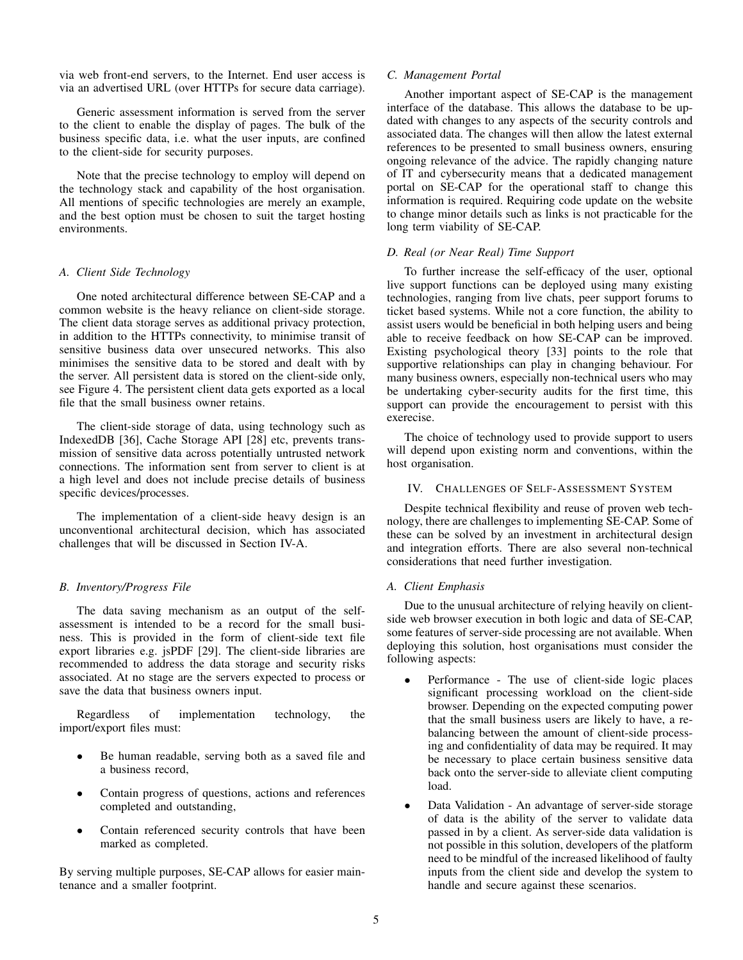via web front-end servers, to the Internet. End user access is via an advertised URL (over HTTPs for secure data carriage).

Generic assessment information is served from the server to the client to enable the display of pages. The bulk of the business specific data, i.e. what the user inputs, are confined to the client-side for security purposes.

Note that the precise technology to employ will depend on the technology stack and capability of the host organisation. All mentions of specific technologies are merely an example, and the best option must be chosen to suit the target hosting environments.

## *A. Client Side Technology*

One noted architectural difference between SE-CAP and a common website is the heavy reliance on client-side storage. The client data storage serves as additional privacy protection, in addition to the HTTPs connectivity, to minimise transit of sensitive business data over unsecured networks. This also minimises the sensitive data to be stored and dealt with by the server. All persistent data is stored on the client-side only, see Figure 4. The persistent client data gets exported as a local file that the small business owner retains.

The client-side storage of data, using technology such as IndexedDB [36], Cache Storage API [28] etc, prevents transmission of sensitive data across potentially untrusted network connections. The information sent from server to client is at a high level and does not include precise details of business specific devices/processes.

The implementation of a client-side heavy design is an unconventional architectural decision, which has associated challenges that will be discussed in Section IV-A.

# *B. Inventory/Progress File*

The data saving mechanism as an output of the selfassessment is intended to be a record for the small business. This is provided in the form of client-side text file export libraries e.g. jsPDF [29]. The client-side libraries are recommended to address the data storage and security risks associated. At no stage are the servers expected to process or save the data that business owners input.

Regardless of implementation technology, the import/export files must:

- Be human readable, serving both as a saved file and a business record,
- Contain progress of questions, actions and references completed and outstanding,
- Contain referenced security controls that have been marked as completed.

By serving multiple purposes, SE-CAP allows for easier maintenance and a smaller footprint.

# *C. Management Portal*

Another important aspect of SE-CAP is the management interface of the database. This allows the database to be updated with changes to any aspects of the security controls and associated data. The changes will then allow the latest external references to be presented to small business owners, ensuring ongoing relevance of the advice. The rapidly changing nature of IT and cybersecurity means that a dedicated management portal on SE-CAP for the operational staff to change this information is required. Requiring code update on the website to change minor details such as links is not practicable for the long term viability of SE-CAP.

# *D. Real (or Near Real) Time Support*

To further increase the self-efficacy of the user, optional live support functions can be deployed using many existing technologies, ranging from live chats, peer support forums to ticket based systems. While not a core function, the ability to assist users would be beneficial in both helping users and being able to receive feedback on how SE-CAP can be improved. Existing psychological theory [33] points to the role that supportive relationships can play in changing behaviour. For many business owners, especially non-technical users who may be undertaking cyber-security audits for the first time, this support can provide the encouragement to persist with this exerecise.

The choice of technology used to provide support to users will depend upon existing norm and conventions, within the host organisation.

#### IV. CHALLENGES OF SELF-ASSESSMENT SYSTEM

Despite technical flexibility and reuse of proven web technology, there are challenges to implementing SE-CAP. Some of these can be solved by an investment in architectural design and integration efforts. There are also several non-technical considerations that need further investigation.

## *A. Client Emphasis*

Due to the unusual architecture of relying heavily on clientside web browser execution in both logic and data of SE-CAP, some features of server-side processing are not available. When deploying this solution, host organisations must consider the following aspects:

- Performance The use of client-side logic places significant processing workload on the client-side browser. Depending on the expected computing power that the small business users are likely to have, a rebalancing between the amount of client-side processing and confidentiality of data may be required. It may be necessary to place certain business sensitive data back onto the server-side to alleviate client computing load.
- Data Validation An advantage of server-side storage of data is the ability of the server to validate data passed in by a client. As server-side data validation is not possible in this solution, developers of the platform need to be mindful of the increased likelihood of faulty inputs from the client side and develop the system to handle and secure against these scenarios.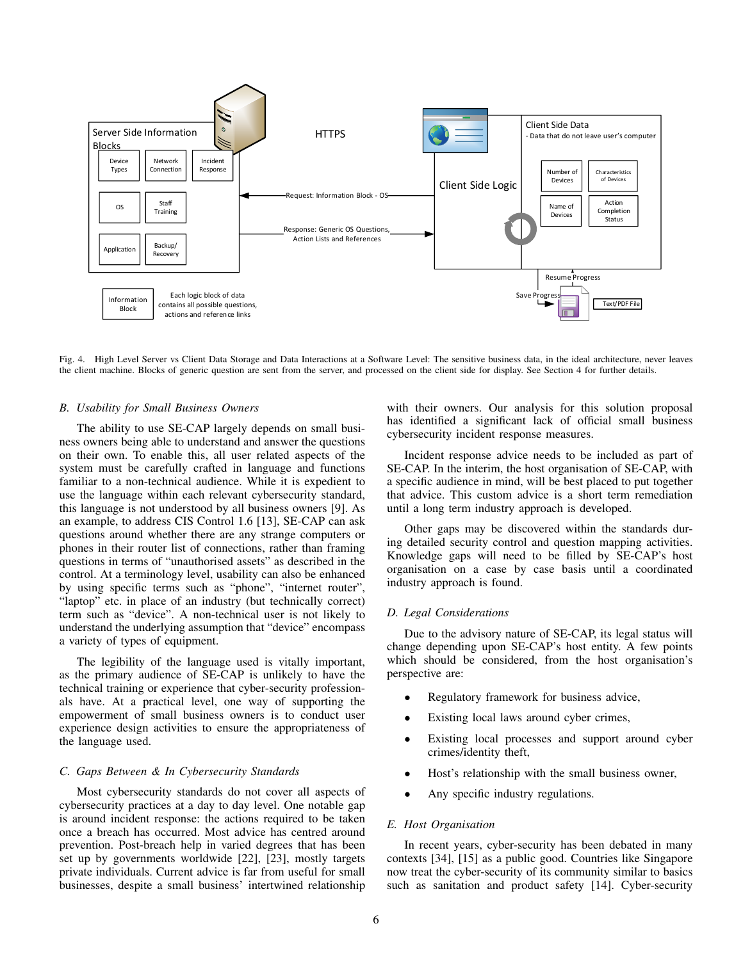

Fig. 4. High Level Server vs Client Data Storage and Data Interactions at a Software Level: The sensitive business data, in the ideal architecture, never leaves the client machine. Blocks of generic question are sent from the server, and processed on the client side for display. See Section 4 for further details.

#### *B. Usability for Small Business Owners*

The ability to use SE-CAP largely depends on small business owners being able to understand and answer the questions on their own. To enable this, all user related aspects of the system must be carefully crafted in language and functions familiar to a non-technical audience. While it is expedient to use the language within each relevant cybersecurity standard, this language is not understood by all business owners [9]. As an example, to address CIS Control 1.6 [13], SE-CAP can ask questions around whether there are any strange computers or phones in their router list of connections, rather than framing questions in terms of "unauthorised assets" as described in the control. At a terminology level, usability can also be enhanced by using specific terms such as "phone", "internet router", "laptop" etc. in place of an industry (but technically correct) term such as "device". A non-technical user is not likely to understand the underlying assumption that "device" encompass a variety of types of equipment.

The legibility of the language used is vitally important, as the primary audience of SE-CAP is unlikely to have the technical training or experience that cyber-security professionals have. At a practical level, one way of supporting the empowerment of small business owners is to conduct user experience design activities to ensure the appropriateness of the language used.

## *C. Gaps Between & In Cybersecurity Standards*

Most cybersecurity standards do not cover all aspects of cybersecurity practices at a day to day level. One notable gap is around incident response: the actions required to be taken once a breach has occurred. Most advice has centred around prevention. Post-breach help in varied degrees that has been set up by governments worldwide [22], [23], mostly targets private individuals. Current advice is far from useful for small businesses, despite a small business' intertwined relationship with their owners. Our analysis for this solution proposal has identified a significant lack of official small business cybersecurity incident response measures.

Incident response advice needs to be included as part of SE-CAP. In the interim, the host organisation of SE-CAP, with a specific audience in mind, will be best placed to put together that advice. This custom advice is a short term remediation until a long term industry approach is developed.

Other gaps may be discovered within the standards during detailed security control and question mapping activities. Knowledge gaps will need to be filled by SE-CAP's host organisation on a case by case basis until a coordinated industry approach is found.

## *D. Legal Considerations*

Due to the advisory nature of SE-CAP, its legal status will change depending upon SE-CAP's host entity. A few points which should be considered, from the host organisation's perspective are:

- Regulatory framework for business advice,
- Existing local laws around cyber crimes,
- Existing local processes and support around cyber crimes/identity theft,
- Host's relationship with the small business owner,
- Any specific industry regulations.

# *E. Host Organisation*

In recent years, cyber-security has been debated in many contexts [34], [15] as a public good. Countries like Singapore now treat the cyber-security of its community similar to basics such as sanitation and product safety [14]. Cyber-security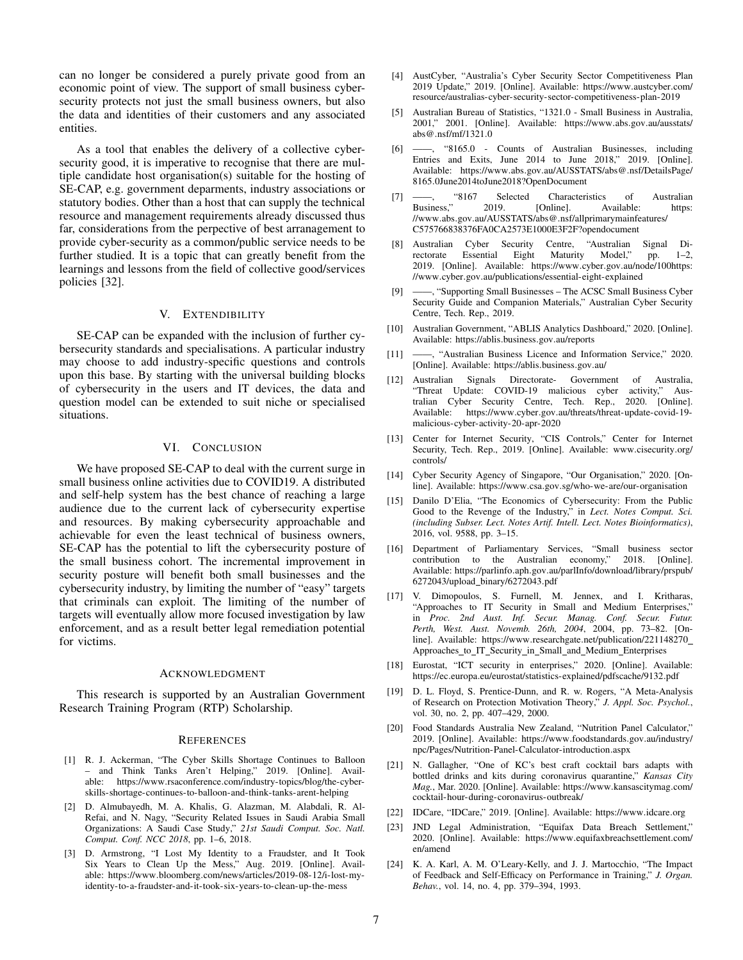can no longer be considered a purely private good from an economic point of view. The support of small business cybersecurity protects not just the small business owners, but also the data and identities of their customers and any associated entities.

As a tool that enables the delivery of a collective cybersecurity good, it is imperative to recognise that there are multiple candidate host organisation(s) suitable for the hosting of SE-CAP, e.g. government deparments, industry associations or statutory bodies. Other than a host that can supply the technical resource and management requirements already discussed thus far, considerations from the perpective of best arranagement to provide cyber-security as a common/public service needs to be further studied. It is a topic that can greatly benefit from the learnings and lessons from the field of collective good/services policies [32].

# V. EXTENDIBILITY

SE-CAP can be expanded with the inclusion of further cybersecurity standards and specialisations. A particular industry may choose to add industry-specific questions and controls upon this base. By starting with the universal building blocks of cybersecurity in the users and IT devices, the data and question model can be extended to suit niche or specialised situations.

### VI. CONCLUSION

We have proposed SE-CAP to deal with the current surge in small business online activities due to COVID19. A distributed and self-help system has the best chance of reaching a large audience due to the current lack of cybersecurity expertise and resources. By making cybersecurity approachable and achievable for even the least technical of business owners, SE-CAP has the potential to lift the cybersecurity posture of the small business cohort. The incremental improvement in security posture will benefit both small businesses and the cybersecurity industry, by limiting the number of "easy" targets that criminals can exploit. The limiting of the number of targets will eventually allow more focused investigation by law enforcement, and as a result better legal remediation potential for victims.

#### ACKNOWLEDGMENT

This research is supported by an Australian Government Research Training Program (RTP) Scholarship.

#### **REFERENCES**

- [1] R. J. Ackerman, "The Cyber Skills Shortage Continues to Balloon – and Think Tanks Aren't Helping," 2019. [Online]. Available: https://www.rsaconference.com/industry-topics/blog/the-cyberskills-shortage-continues-to-balloon-and-think-tanks-arent-helping
- [2] D. Almubayedh, M. A. Khalis, G. Alazman, M. Alabdali, R. Al-Refai, and N. Nagy, "Security Related Issues in Saudi Arabia Small Organizations: A Saudi Case Study," *21st Saudi Comput. Soc. Natl. Comput. Conf. NCC 2018*, pp. 1–6, 2018.
- [3] D. Armstrong, "I Lost My Identity to a Fraudster, and It Took Six Years to Clean Up the Mess," Aug. 2019. [Online]. Available: https://www.bloomberg.com/news/articles/2019-08-12/i-lost-myidentity-to-a-fraudster-and-it-took-six-years-to-clean-up-the-mess
- [4] AustCyber, "Australia's Cyber Security Sector Competitiveness Plan 2019 Update," 2019. [Online]. Available: https://www.austcyber.com/ resource/australias-cyber-security-sector-competitiveness-plan-2019
- [5] Australian Bureau of Statistics, "1321.0 Small Business in Australia, 2001," 2001. [Online]. Available: https://www.abs.gov.au/ausstats/ abs@.nsf/mf/1321.0
- [6] ——, "8165.0 Counts of Australian Businesses, including Entries and Exits, June 2014 to June 2018," 2019. [Online]. Available: https://www.abs.gov.au/AUSSTATS/abs@.nsf/DetailsPage/ 8165.0June2014toJune2018?OpenDocument
- [7] ——, "8167 Selected Characteristics of Australian Business," 2019. [Online]. Available: https: [Online]. Available: https: //www.abs.gov.au/AUSSTATS/abs@.nsf/allprimarymainfeatures/ C575766838376FA0CA2573E1000E3F2F?opendocument
- [8] Australian Cyber Security Centre, "Australian Signal Directorate Essential Eight Maturity Model," pp. 1–2, 2019. [Online]. Available: https://www.cyber.gov.au/node/100https: //www.cyber.gov.au/publications/essential-eight-explained
- [9] ——, "Supporting Small Businesses The ACSC Small Business Cyber Security Guide and Companion Materials," Australian Cyber Security Centre, Tech. Rep., 2019.
- [10] Australian Government, "ABLIS Analytics Dashboard," 2020. [Online]. Available: https://ablis.business.gov.au/reports
- [11] ——, "Australian Business Licence and Information Service," 2020. [Online]. Available: https://ablis.business.gov.au/
- [12] Australian Signals Directorate- Government of Australia, "Threat Update: COVID-19 malicious cyber tralian Cyber Security Centre, Tech. Rep., 2020. [Online]. Available: https://www.cyber.gov.au/threats/threat-update-covid-19 malicious-cyber-activity-20-apr-2020
- [13] Center for Internet Security, "CIS Controls," Center for Internet Security, Tech. Rep., 2019. [Online]. Available: www.cisecurity.org/ controls/
- [14] Cyber Security Agency of Singapore, "Our Organisation," 2020. [Online]. Available: https://www.csa.gov.sg/who-we-are/our-organisation
- [15] Danilo D'Elia, "The Economics of Cybersecurity: From the Public Good to the Revenge of the Industry," in *Lect. Notes Comput. Sci. (including Subser. Lect. Notes Artif. Intell. Lect. Notes Bioinformatics)*, 2016, vol. 9588, pp. 3–15.
- [16] Department of Parliamentary Services, "Small business sector contribution to the Australian economy," 2018. [Online]. Available: https://parlinfo.aph.gov.au/parlInfo/download/library/prspub/ 6272043/upload binary/6272043.pdf
- [17] V. Dimopoulos, S. Furnell, M. Jennex, and I. Kritharas, "Approaches to IT Security in Small and Medium Enterprises," in *Proc. 2nd Aust. Inf. Secur. Manag. Conf. Secur. Futur. Perth, West. Aust. Novemb. 26th, 2004*, 2004, pp. 73–82. [Online]. Available: https://www.researchgate.net/publication/221148270 Approaches\_to\_IT\_Security\_in\_Small\_and\_Medium\_Enterprises
- [18] Eurostat, "ICT security in enterprises," 2020. [Online]. Available: https://ec.europa.eu/eurostat/statistics-explained/pdfscache/9132.pdf
- [19] D. L. Floyd, S. Prentice-Dunn, and R. w. Rogers, "A Meta-Analysis of Research on Protection Motivation Theory," *J. Appl. Soc. Psychol.*, vol. 30, no. 2, pp. 407–429, 2000.
- [20] Food Standards Australia New Zealand, "Nutrition Panel Calculator," 2019. [Online]. Available: https://www.foodstandards.gov.au/industry/ npc/Pages/Nutrition-Panel-Calculator-introduction.aspx
- [21] N. Gallagher, "One of KC's best craft cocktail bars adapts with bottled drinks and kits during coronavirus quarantine," *Kansas City Mag.*, Mar. 2020. [Online]. Available: https://www.kansascitymag.com/ cocktail-hour-during-coronavirus-outbreak/
- [22] IDCare, "IDCare," 2019. [Online]. Available: https://www.idcare.org
- [23] JND Legal Administration, "Equifax Data Breach Settlement," 2020. [Online]. Available: https://www.equifaxbreachsettlement.com/ en/amend
- [24] K. A. Karl, A. M. O'Leary-Kelly, and J. J. Martocchio, "The Impact of Feedback and Self-Efficacy on Performance in Training," *J. Organ. Behav.*, vol. 14, no. 4, pp. 379–394, 1993.